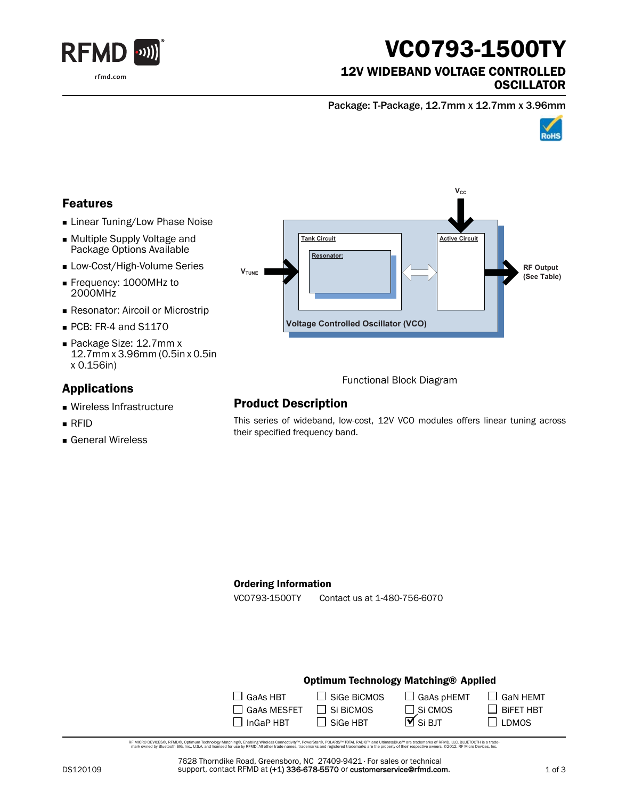

# VCO793-1500TY

### 12V WIDEBAND VOLTAGE CONTROLLED **OSCILLATOR**

Package: T-Package, 12.7mm x 12.7mm x 3.96mm



## Features

- **Linear Tuning/Low Phase Noise**
- Multiple Supply Voltage and Package Options Available
- **Low-Cost/High-Volume Series**
- Frequency: 1000MHz to 2000MHz
- **Resonator: Aircoil or Microstrip**
- PCB: FR-4 and S1170
- Package Size: 12.7mm x 12.7mm x 3.96mm (0.5in x 0.5in x 0.156in)

## Applications

- Wireless Infrastructure
- RFID
- General Wireless



Functional Block Diagram

# Product Description

This series of wideband, low-cost, 12V VCO modules offers linear tuning across their specified frequency band.

#### Ordering Information

VCO793-1500TY Contact us at 1-480-756-6070

### Optimum Technology Matching® Applied

| $\Box$ GaAs HBT    | $\Box$ Sige BiCMOS | $\Box$ GaAs pHEMT              |
|--------------------|--------------------|--------------------------------|
| $\Box$ GaAs MESFET | $\Box$ Si BiCMOS   | $\Box$ Si CMOS                 |
| $\Box$ InGaP HBT   | $\Box$ SiGe HBT    | $\overline{\mathbf{M}}$ Si BJT |

RF MCRO DEVCES®, RFMD®, Optimum Technology Matching®, Erabling Wireless Connectivity™, PowerStar®, POLARIS™ TOTAL RADIO™ and UltimateBlue™ are trademarks of RFMD, LLC. BLUETOOTH is a trade<br>… mark owned by Bluetooth SIG, i

7628 Thorndike Road, Greensboro, NC 27409-9421 · For sales or technical support, contact RFMD at (+1) 336-678-5570 or customerservice@rfmd.com.  $\Box$  GaN HEMT

 $\Box$  BiFET HBT  $\square$  LDMOS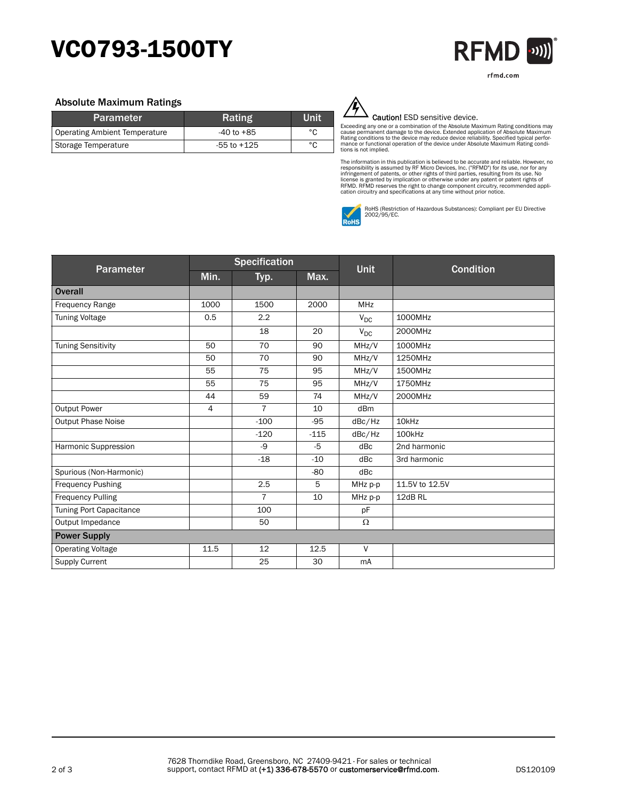# VCO793-1500TY



#### Absolute Maximum Ratings

| <b>Parameter</b>              | Rating         | Unit |
|-------------------------------|----------------|------|
| Operating Ambient Temperature | $-40$ to $+85$ | °C   |
| Storage Temperature           | -55 to +125    | °C   |



#### Caution! ESD sensitive device.

Exceeding any one or a combination of the Absolute Maximum Rating conditions may<br>cause permanent damage to the device. Extended application of Absolute Maximum<br>Rating conditions to the device may reduce device reliability. tions is not implied.

The information in this publication is believed to be accurate and reliable. However, no<br>responsibility is assumed by RF Micro Devices, Inc. ("RFMD") for its use, nor for any<br>infringement of patents, or other rights of thi



RoHS (Restriction of Hazardous Substances): Compliant per EU Directive 2002/95/EC.

| Parameter                 | <b>Specification</b> |                |        |             |                   |
|---------------------------|----------------------|----------------|--------|-------------|-------------------|
|                           | Min.                 | Typ.           | Max.   | <b>Unit</b> | <b>Condition</b>  |
| <b>Overall</b>            |                      |                |        |             |                   |
| <b>Frequency Range</b>    | 1000                 | 1500           | 2000   | <b>MHz</b>  |                   |
| <b>Tuning Voltage</b>     | 0.5                  | 2.2            |        | $V_{DC}$    | 1000MHz           |
|                           |                      | 18             | 20     | $V_{DC}$    | 2000MHz           |
| <b>Tuning Sensitivity</b> | 50                   | 70             | 90     | MHz/V       | 1000MHz           |
|                           | 50                   | 70             | 90     | MHz/V       | 1250MHz           |
|                           | 55                   | 75             | 95     | MHz/V       | 1500MHz           |
|                           | 55                   | 75             | 95     | MHz/V       | 1750MHz           |
|                           | 44                   | 59             | 74     | MHz/V       | 2000MHz           |
| <b>Output Power</b>       | 4                    | $\overline{7}$ | 10     | dBm         |                   |
| Output Phase Noise        |                      | $-100$         | $-95$  | dBc/Hz      | 10 <sub>kHz</sub> |
|                           |                      | $-120$         | $-115$ | dBc/Hz      | 100kHz            |
| Harmonic Suppression      |                      | -9             | $-5$   | dBc         | 2nd harmonic      |
|                           |                      | $-18$          | $-10$  | dBc         | 3rd harmonic      |
| Spurious (Non-Harmonic)   |                      |                | $-80$  | dBc         |                   |
| <b>Frequency Pushing</b>  |                      | 2.5            | 5      | MHz p-p     | 11.5V to 12.5V    |
| <b>Frequency Pulling</b>  |                      | $\overline{7}$ | 10     | MHz p-p     | 12dB RL           |
| Tuning Port Capacitance   |                      | 100            |        | pF          |                   |
| Output Impedance          |                      | 50             |        | Ω           |                   |
| <b>Power Supply</b>       |                      |                |        |             |                   |
| <b>Operating Voltage</b>  | 11.5                 | 12             | 12.5   | $\vee$      |                   |
| <b>Supply Current</b>     |                      | 25             | 30     | mA          |                   |